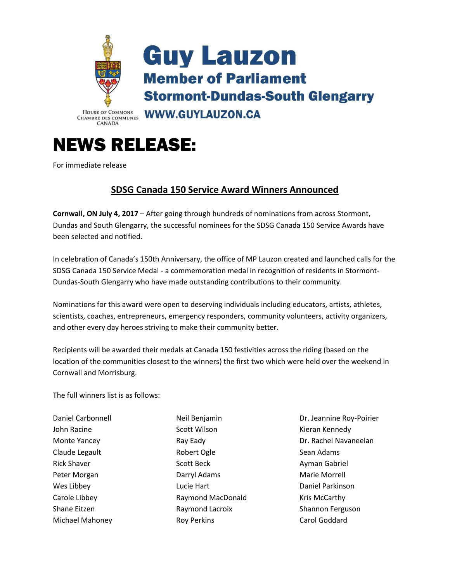

## NEWS RELEASE:

For immediate release

## **SDSG Canada 150 Service Award Winners Announced**

**Cornwall, ON July 4, 2017** – After going through hundreds of nominations from across Stormont, Dundas and South Glengarry, the successful nominees for the SDSG Canada 150 Service Awards have been selected and notified.

In celebration of Canada's 150th Anniversary, the office of MP Lauzon created and launched calls for the SDSG Canada 150 Service Medal - a commemoration medal in recognition of residents in Stormont-Dundas-South Glengarry who have made outstanding contributions to their community.

Nominations for this award were open to deserving individuals including educators, artists, athletes, scientists, coaches, entrepreneurs, emergency responders, community volunteers, activity organizers, and other every day heroes striving to make their community better.

Recipients will be awarded their medals at Canada 150 festivities across the riding (based on the location of the communities closest to the winners) the first two which were held over the weekend in Cornwall and Morrisburg.

The full winners list is as follows:

Daniel Carbonnell John Racine Monte Yancey Claude Legault Rick Shaver Peter Morgan Wes Libbey Carole Libbey Shane Eitzen Michael Mahoney

Neil Benjamin Scott Wilson Ray Eady Robert Ogle Scott Beck Darryl Adams Lucie Hart Raymond MacDonald Raymond Lacroix Roy Perkins

Dr. Jeannine Roy-Poirier Kieran Kennedy Dr. Rachel Navaneelan Sean Adams Ayman Gabriel Marie Morrell Daniel Parkinson Kris McCarthy Shannon Ferguson Carol Goddard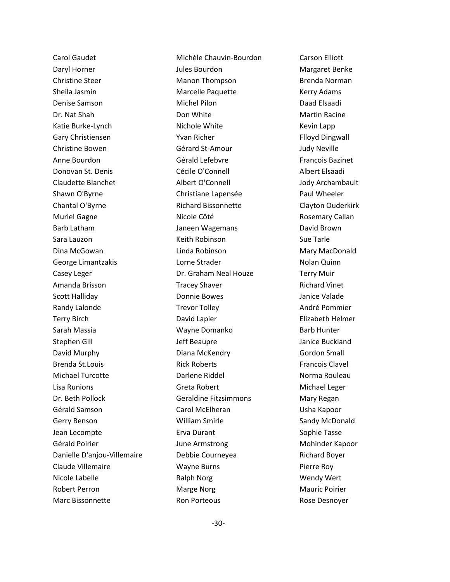Carol Gaudet Daryl Horner Christine Steer Sheila Jasmin Denise Samson Dr. Nat Shah Katie Burke-Lynch Gary Christiensen Christine Bowen Anne Bourdon Donovan St. Denis Claudette Blanchet Shawn O'Byrne Chantal O'Byrne Muriel Gagne Barb Latham Sara Lauzon Dina McGowan George Limantzakis Casey Leger Amanda Brisson Scott Halliday Randy Lalonde Terry Birch Sarah Massia Stephen Gill David Murphy Brenda St.Louis Michael Turcotte Lisa Runions Dr. Beth Pollock Gérald Samson Gerry Benson Jean Lecompte Gérald Poirier Danielle D'anjou-Villemaire Claude Villemaire Nicole Labelle Robert Perron Marc Bissonnette

Michèle Chauvin-Bourdon Jules Bourdon Manon Thompson Marcelle Paquette Michel Pilon Don White Nichole White Yvan Richer Gérard St-Amour Gérald Lefebvre Cécile O'Connell Albert O'Connell Christiane Lapensée Richard Bissonnette Nicole Côté Janeen Wagemans Keith Robinson Linda Robinson Lorne Strader Dr. Graham Neal Houze Tracey Shaver Donnie Bowes Trevor Tolley David Lapier Wayne Domanko Jeff Beaupre Diana McKendry Rick Roberts Darlene Riddel Greta Robert Geraldine Fitzsimmons Carol McElheran William Smirle Erva Durant June Armstrong Debbie Courneyea Wayne Burns Ralph Norg Marge Norg Ron Porteous

Carson Elliott Margaret Benke Brenda Norman Kerry Adams Daad Elsaadi Martin Racine Kevin Lapp Flloyd Dingwall Judy Neville Francois Bazinet Albert Elsaadi Jody Archambault Paul Wheeler Clayton Ouderkirk Rosemary Callan David Brown Sue Tarle Mary MacDonald Nolan Quinn Terry Muir Richard Vinet Janice Valade André Pommier Elizabeth Helmer Barb Hunter Janice Buckland Gordon Small Francois Clavel Norma Rouleau Michael Leger Mary Regan Usha Kapoor Sandy McDonald Sophie Tasse Mohinder Kapoor Richard Boyer Pierre Roy Wendy Wert Mauric Poirier Rose Desnoyer